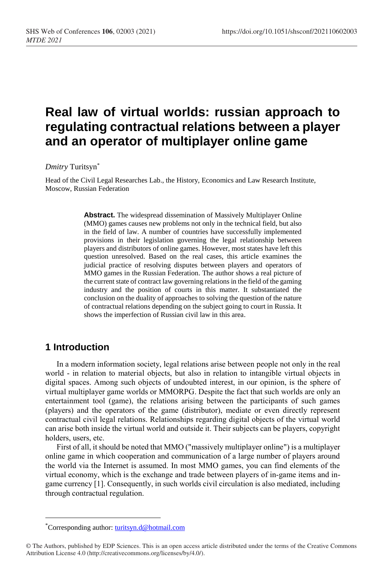# **Real law of virtual worlds: russian approach to regulating contractual relations between a player and an operator of multiplayer online game**

#### *Dmitry* Turitsyn\*

Head of the Civil Legal Researches Lab., the History, Economics and Law Research Institute, Moscow, Russian Federation

> **Abstract.** The widespread dissemination of Massively Multiplayer Online (MMO) games causes new problems not only in the technical field, but also in the field of law. A number of countries have successfully implemented provisions in their legislation governing the legal relationship between players and distributors of online games. However, most states have left this question unresolved. Based on the real cases, this article examines the judicial practice of resolving disputes between players and operators of MMO games in the Russian Federation. The author shows a real picture of the current state of contract law governing relations in the field of the gaming industry and the position of courts in this matter. It substantiated the conclusion on the duality of approaches to solving the question of the nature of contractual relations depending on the subject going to court in Russia. It shows the imperfection of Russian civil law in this area.

# **1 Introduction**

 $\overline{a}$ 

In a modern information society, legal relations arise between people not only in the real world - in relation to material objects, but also in relation to intangible virtual objects in digital spaces. Among such objects of undoubted interest, in our opinion, is the sphere of virtual multiplayer game worlds or MMORPG. Despite the fact that such worlds are only an entertainment tool (game), the relations arising between the participants of such games (players) and the operators of the game (distributor), mediate or even directly represent contractual civil legal relations. Relationships regarding digital objects of the virtual world can arise both inside the virtual world and outside it. Their subjects can be players, copyright holders, users, etc.

First of all, it should be noted that MMO ("massively multiplayer online") is a multiplayer online game in which cooperation and communication of a large number of players around the world via the Internet is assumed. In most MMO games, you can find elements of the virtual economy, which is the exchange and trade between players of in-game items and ingame currency [1]. Consequently, in such worlds civil circulation is also mediated, including through contractual regulation.

<sup>\*</sup>Corresponding author[: turitsyn.d@hotmail.com](mailto:turitsyn.d@hotmail.com)

<sup>©</sup> The Authors, published by EDP Sciences. This is an open access article distributed under the terms of the Creative Commons Attribution License 4.0 (http://creativecommons.org/licenses/by/4.0/).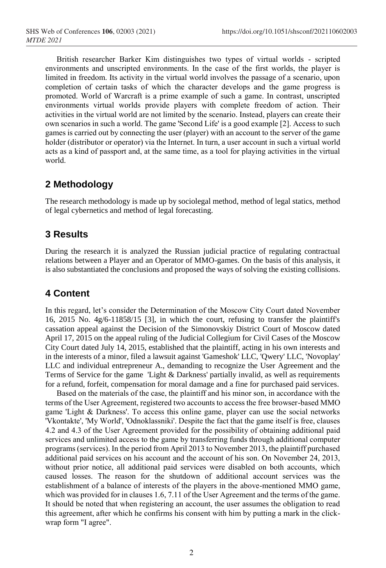British researcher Barker Kim distinguishes two types of virtual worlds - scripted environments and unscripted environments. In the case of the first worlds, the player is limited in freedom. Its activity in the virtual world involves the passage of a scenario, upon completion of certain tasks of which the character develops and the game progress is promoted. World of Warcraft is a prime example of such a game. In contrast, unscripted environments virtual worlds provide players with complete freedom of action. Their activities in the virtual world are not limited by the scenario. Instead, players can create their own scenarios in such a world. The game 'Second Life' is a good example [2]. Access to such games is carried out by connecting the user (player) with an account to the server of the game holder (distributor or operator) via the Internet. In turn, a user account in such a virtual world acts as a kind of passport and, at the same time, as a tool for playing activities in the virtual world.

# **2 Methodology**

The research methodology is made up by sociolegal method, method of legal statics, method of legal cybernetics and method of legal forecasting.

# **3 Results**

During the research it is analyzed the Russian judicial practice of regulating contractual relations between a Player and an Operator of MMO-games. On the basis of this analysis, it is also substantiated the conclusions and proposed the ways of solving the existing collisions.

# **4 Content**

In this regard, let's consider the Determination of the Moscow City Court dated November 16, 2015 No. 4g/6-11858/15 [3], in which the court, refusing to transfer the plaintiff's cassation appeal against the Decision of the Simonovskiy District Court of Moscow dated April 17, 2015 on the appeal ruling of the Judicial Collegium for Civil Cases of the Moscow City Court dated July 14, 2015, established that the plaintiff, acting in his own interests and in the interests of a minor, filed a lawsuit against 'Gameshok' LLC, 'Qwery' LLC, 'Novoplay' LLC and individual entrepreneur A., demanding to recognize the User Agreement and the Terms of Service for the game 'Light & Darkness' partially invalid, as well as requirements for a refund, forfeit, compensation for moral damage and a fine for purchased paid services.

Based on the materials of the case, the plaintiff and his minor son, in accordance with the terms of the User Agreement, registered two accounts to access the free browser-based MMO game 'Light & Darkness'. To access this online game, player can use the social networks 'Vkontakte', 'My World', 'Odnoklassniki'. Despite the fact that the game itself is free, clauses 4.2 and 4.3 of the User Agreement provided for the possibility of obtaining additional paid services and unlimited access to the game by transferring funds through additional computer programs (services). In the period from April 2013 to November 2013, the plaintiff purchased additional paid services on his account and the account of his son. On November 24, 2013, without prior notice, all additional paid services were disabled on both accounts, which caused losses. The reason for the shutdown of additional account services was the establishment of a balance of interests of the players in the above-mentioned MMO game, which was provided for in clauses 1.6, 7.11 of the User Agreement and the terms of the game. It should be noted that when registering an account, the user assumes the obligation to read this agreement, after which he confirms his consent with him by putting a mark in the clickwrap form "I agree".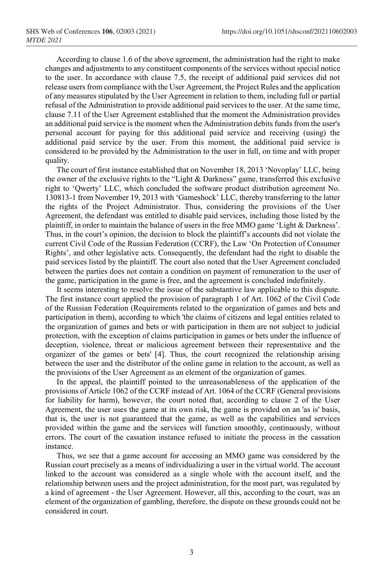According to clause 1.6 of the above agreement, the administration had the right to make changes and adjustments to any constituent components of the services without special notice to the user. In accordance with clause 7.5, the receipt of additional paid services did not release users from compliance with the User Agreement, the Project Rules and the application of any measures stipulated by the User Agreement in relation to them, including full or partial refusal of the Administration to provide additional paid services to the user. At the same time, clause 7.11 of the User Agreement established that the moment the Administration provides an additional paid service is the moment when the Administration debits funds from the user's personal account for paying for this additional paid service and receiving (using) the additional paid service by the user. From this moment, the additional paid service is considered to be provided by the Administration to the user in full, on time and with proper quality.

The court of first instance established that on November 18, 2013 'Novoplay' LLC, being the owner of the exclusive rights to the "Light & Darkness" game, transferred this exclusive right to 'Qwerty' LLC, which concluded the software product distribution agreement No. 130813-1 from November 19, 2013 with 'Gameshock' LLC, thereby transferring to the latter the rights of the Project Administrator. Thus, considering the provisions of the User Agreement, the defendant was entitled to disable paid services, including those listed by the plaintiff, in order to maintain the balance of users in the free MMO game 'Light & Darkness'. Thus, in the court's opinion, the decision to block the plaintiff's accounts did not violate the current Civil Code of the Russian Federation (CCRF), the Law 'On Protection of Consumer Rights', and other legislative acts. Consequently, the defendant had the right to disable the paid services listed by the plaintiff. The court also noted that the User Agreement concluded between the parties does not contain a condition on payment of remuneration to the user of the game, participation in the game is free, and the agreement is concluded indefinitely.

It seems interesting to resolve the issue of the substantive law applicable to this dispute. The first instance court applied the provision of paragraph 1 of Art. 1062 of the Civil Code of the Russian Federation (Requirements related to the organization of games and bets and participation in them), according to which 'the claims of citizens and legal entities related to the organization of games and bets or with participation in them are not subject to judicial protection, with the exception of claims participation in games or bets under the influence of deception, violence, threat or malicious agreement between their representative and the organizer of the games or bets' [4]. Thus, the court recognized the relationship arising between the user and the distributor of the online game in relation to the account, as well as the provisions of the User Agreement as an element of the organization of games.

In the appeal, the plaintiff pointed to the unreasonableness of the application of the provisions of Article 1062 of the CCRF instead of Art. 1064 of the CCRF (General provisions for liability for harm), however, the court noted that, according to clause 2 of the User Agreement, the user uses the game at its own risk, the game is provided on an 'as is' basis, that is, the user is not guaranteed that the game, as well as the capabilities and services provided within the game and the services will function smoothly, continuously, without errors. The court of the cassation instance refused to initiate the process in the cassation instance.

Thus, we see that a game account for accessing an MMO game was considered by the Russian court precisely as a means of individualizing a user in the virtual world. The account linked to the account was considered as a single whole with the account itself, and the relationship between users and the project administration, for the most part, was regulated by a kind of agreement - the User Agreement. However, all this, according to the court, was an element of the organization of gambling, therefore, the dispute on these grounds could not be considered in court.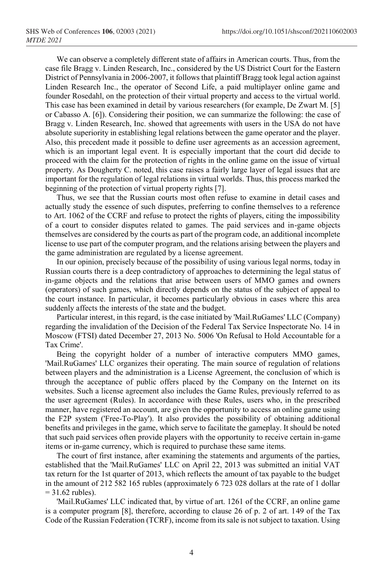We can observe a completely different state of affairs in American courts. Thus, from the case file Bragg v. Linden Research, Inc., considered by the US District Court for the Eastern District of Pennsylvania in 2006-2007, it follows that plaintiff Bragg took legal action against Linden Research Inc., the operator of Second Life, a paid multiplayer online game and founder Rosedahl, on the protection of their virtual property and access to the virtual world. This case has been examined in detail by various researchers (for example, De Zwart M. [5] or Cabasso A. [6]). Considering their position, we can summarize the following: the case of Bragg v. Linden Research, Inc. showed that agreements with users in the USA do not have absolute superiority in establishing legal relations between the game operator and the player. Also, this precedent made it possible to define user agreements as an accession agreement, which is an important legal event. It is especially important that the court did decide to proceed with the claim for the protection of rights in the online game on the issue of virtual property. As Dougherty C. noted, this case raises a fairly large layer of legal issues that are important for the regulation of legal relations in virtual worlds. Thus, this process marked the beginning of the protection of virtual property rights [7].

Thus, we see that the Russian courts most often refuse to examine in detail cases and actually study the essence of such disputes, preferring to confine themselves to a reference to Art. 1062 of the CCRF and refuse to protect the rights of players, citing the impossibility of a court to consider disputes related to games. The paid services and in-game objects themselves are considered by the courts as part of the program code, an additional incomplete license to use part of the computer program, and the relations arising between the players and the game administration are regulated by a license agreement.

In our opinion, precisely because of the possibility of using various legal norms, today in Russian courts there is a deep contradictory of approaches to determining the legal status of in-game objects and the relations that arise between users of MMO games and owners (operators) of such games, which directly depends on the status of the subject of appeal to the court instance. In particular, it becomes particularly obvious in cases where this area suddenly affects the interests of the state and the budget.

Particular interest, in this regard, is the case initiated by 'Mail.RuGames' LLC (Company) regarding the invalidation of the Decision of the Federal Tax Service Inspectorate No. 14 in Moscow (FTSI) dated December 27, 2013 No. 5006 'On Refusal to Hold Accountable for a Tax Crime'.

Being the copyright holder of a number of interactive computers MMO games, 'Mail.RuGames' LLC organizes their operating. The main source of regulation of relations between players and the administration is a License Agreement, the conclusion of which is through the acceptance of public offers placed by the Company on the Internet on its websites. Such a license agreement also includes the Game Rules, previously referred to as the user agreement (Rules). In accordance with these Rules, users who, in the prescribed manner, have registered an account, are given the opportunity to access an online game using the F2P system ('Free-To-Play'). It also provides the possibility of obtaining additional benefits and privileges in the game, which serve to facilitate the gameplay. It should be noted that such paid services often provide players with the opportunity to receive certain in-game items or in-game currency, which is required to purchase these same items.

The court of first instance, after examining the statements and arguments of the parties, established that the 'Mail.RuGames' LLC on April 22, 2013 was submitted an initial VAT tax return for the 1st quarter of 2013, which reflects the amount of tax payable to the budget in the amount of 212 582 165 rubles (approximately 6 723 028 dollars at the rate of 1 dollar  $= 31.62$  rubles).

'Mail.RuGames' LLC indicated that, by virtue of art. 1261 of the CCRF, an online game is a computer program [8], therefore, according to clause 26 of p. 2 of art. 149 of the Tax Code of the Russian Federation (TCRF), income from its sale is not subject to taxation. Using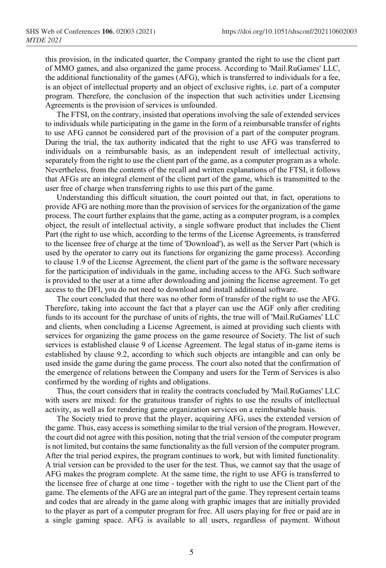this provision, in the indicated quarter, the Company granted the right to use the client part of MMO games, and also organized the game process. According to 'Mail.RuGames' LLC, the additional functionality of the games (AFG), which is transferred to individuals for a fee, is an object of intellectual property and an object of exclusive rights, i.e. part of a computer program. Therefore, the conclusion of the inspection that such activities under Licensing Agreements is the provision of services is unfounded.

The FTSI, on the contrary, insisted that operations involving the sale of extended services to individuals while participating in the game in the form of a reimbursable transfer of rights to use AFG cannot be considered part of the provision of a part of the computer program. During the trial, the tax authority indicated that the right to use AFG was transferred to individuals on a reimbursable basis, as an independent result of intellectual activity, separately from the right to use the client part of the game, as a computer program as a whole. Nevertheless, from the contents of the recall and written explanations of the FTSI, it follows that AFGs are an integral element of the client part of the game, which is transmitted to the user free of charge when transferring rights to use this part of the game.

Understanding this difficult situation, the court pointed out that, in fact, operations to provide AFG are nothing more than the provision of services for the organization of the game process. The court further explains that the game, acting as a computer program, is a complex object, the result of intellectual activity, a single software product that includes the Client Part (the right to use which, according to the terms of the License Agreements, is transferred to the licensee free of charge at the time of 'Download'), as well as the Server Part (which is used by the operator to carry out its functions for organizing the game process). According to clause 1.9 of the License Agreement, the client part of the game is the software necessary for the participation of individuals in the game, including access to the AFG. Such software is provided to the user at a time after downloading and joining the license agreement. To get access to the DFI, you do not need to download and install additional software.

The court concluded that there was no other form of transfer of the right to use the AFG. Therefore, taking into account the fact that a player can use the AGF only after crediting funds to its account for the purchase of units of rights, the true will of 'Mail.RuGames' LLC and clients, when concluding a License Agreement, is aimed at providing such clients with services for organizing the game process on the game resource of Society. The list of such services is established clause 9 of License Agreement. The legal status of in-game items is established by clause 9.2, according to which such objects are intangible and can only be used inside the game during the game process. The court also noted that the confirmation of the emergence of relations between the Company and users for the Term of Services is also confirmed by the wording of rights and obligations.

Thus, the court considers that in reality the contracts concluded by 'Mail.RuGames' LLC with users are mixed: for the gratuitous transfer of rights to use the results of intellectual activity, as well as for rendering game organization services on a reimbursable basis.

The Society tried to prove that the player, acquiring AFG, uses the extended version of the game. Thus, easy access is something similar to the trial version of the program. However, the court did not agree with this position, noting that the trial version of the computer program is not limited, but contains the same functionality as the full version of the computer program. After the trial period expires, the program continues to work, but with limited functionality. A trial version can be provided to the user for the test. Thus, we cannot say that the usage of AFG makes the program complete. At the same time, the right to use AFG is transferred to the licensee free of charge at one time - together with the right to use the Client part of the game. The elements of the AFG are an integral part of the game. They represent certain teams and codes that are already in the game along with graphic images that are initially provided to the player as part of a computer program for free. All users playing for free or paid are in a single gaming space. AFG is available to all users, regardless of payment. Without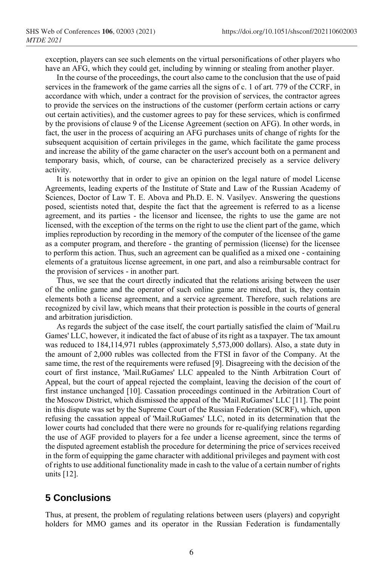exception, players can see such elements on the virtual personifications of other players who have an AFG, which they could get, including by winning or stealing from another player.

In the course of the proceedings, the court also came to the conclusion that the use of paid services in the framework of the game carries all the signs of с. 1 of art. 779 of the CCRF, in accordance with which, under a contract for the provision of services, the contractor agrees to provide the services on the instructions of the customer (perform certain actions or carry out certain activities), and the customer agrees to pay for these services, which is confirmed by the provisions of clause 9 of the License Agreement (section on AFG). In other words, in fact, the user in the process of acquiring an AFG purchases units of change of rights for the subsequent acquisition of certain privileges in the game, which facilitate the game process and increase the ability of the game character on the user's account both on a permanent and temporary basis, which, of course, can be characterized precisely as a service delivery activity.

It is noteworthy that in order to give an opinion on the legal nature of model License Agreements, leading experts of the Institute of State and Law of the Russian Academy of Sciences, Doctor of Law T. E. Abova and Ph.D. E. N. Vasilyev. Answering the questions posed, scientists noted that, despite the fact that the agreement is referred to as a license agreement, and its parties - the licensor and licensee, the rights to use the game are not licensed, with the exception of the terms on the right to use the client part of the game, which implies reproduction by recording in the memory of the computer of the licensee of the game as a computer program, and therefore - the granting of permission (license) for the licensee to perform this action. Thus, such an agreement can be qualified as a mixed one - containing elements of a gratuitous license agreement, in one part, and also a reimbursable contract for the provision of services - in another part.

Thus, we see that the court directly indicated that the relations arising between the user of the online game and the operator of such online game are mixed, that is, they contain elements both a license agreement, and a service agreement. Therefore, such relations are recognized by civil law, which means that their protection is possible in the courts of general and arbitration jurisdiction.

As regards the subject of the case itself, the court partially satisfied the claim of 'Mail.ru Games' LLC, however, it indicated the fact of abuse of its right as a taxpayer. The tax amount was reduced to 184,114,971 rubles (approximately 5,573,000 dollars). Also, a state duty in the amount of 2,000 rubles was collected from the FTSI in favor of the Company. At the same time, the rest of the requirements were refused [9]. Disagreeing with the decision of the court of first instance, 'Mail.RuGames' LLC appealed to the Ninth Arbitration Court of Appeal, but the court of appeal rejected the complaint, leaving the decision of the court of first instance unchanged [10]. Cassation proceedings continued in the Arbitration Court of the Moscow District, which dismissed the appeal of the 'Mail.RuGames' LLC [11]. The point in this dispute was set by the Supreme Court of the Russian Federation (SCRF), which, upon refusing the cassation appeal of 'Mail.RuGames' LLC, noted in its determination that the lower courts had concluded that there were no grounds for re-qualifying relations regarding the use of AGF provided to players for a fee under a license agreement, since the terms of the disputed agreement establish the procedure for determining the price of services received in the form of equipping the game character with additional privileges and payment with cost of rights to use additional functionality made in cash to the value of a certain number of rights units [12].

#### **5 Conclusions**

Thus, at present, the problem of regulating relations between users (players) and copyright holders for MMO games and its operator in the Russian Federation is fundamentally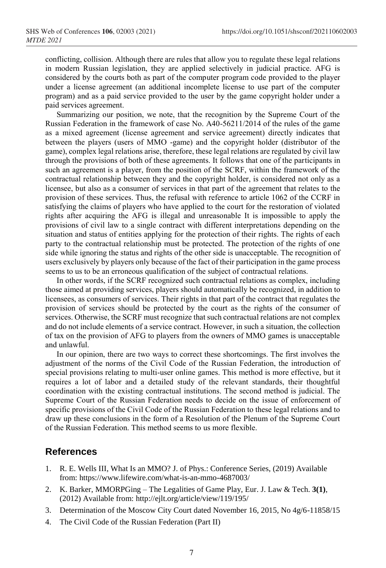conflicting, collision. Although there are rules that allow you to regulate these legal relations in modern Russian legislation, they are applied selectively in judicial practice. AFG is considered by the courts both as part of the computer program code provided to the player under a license agreement (an additional incomplete license to use part of the computer program) and as a paid service provided to the user by the game copyright holder under a paid services agreement.

Summarizing our position, we note, that the recognition by the Supreme Court of the Russian Federation in the framework of case No. A40-56211/2014 of the rules of the game as a mixed agreement (license agreement and service agreement) directly indicates that between the players (users of MMO -game) and the copyright holder (distributor of the game), complex legal relations arise, therefore, these legal relations are regulated by civil law through the provisions of both of these agreements. It follows that one of the participants in such an agreement is a player, from the position of the SCRF, within the framework of the contractual relationship between they and the copyright holder, is considered not only as a licensee, but also as a consumer of services in that part of the agreement that relates to the provision of these services. Thus, the refusal with reference to article 1062 of the CCRF in satisfying the claims of players who have applied to the court for the restoration of violated rights after acquiring the AFG is illegal and unreasonable It is impossible to apply the provisions of civil law to a single contract with different interpretations depending on the situation and status of entities applying for the protection of their rights. The rights of each party to the contractual relationship must be protected. The protection of the rights of one side while ignoring the status and rights of the other side is unacceptable. The recognition of users exclusively by players only because of the fact of their participation in the game process seems to us to be an erroneous qualification of the subject of contractual relations.

In other words, if the SCRF recognized such contractual relations as complex, including those aimed at providing services, players should automatically be recognized, in addition to licensees, as consumers of services. Their rights in that part of the contract that regulates the provision of services should be protected by the court as the rights of the consumer of services. Otherwise, the SCRF must recognize that such contractual relations are not complex and do not include elements of a service contract. However, in such a situation, the collection of tax on the provision of AFG to players from the owners of MMO games is unacceptable and unlawful.

In our opinion, there are two ways to correct these shortcomings. The first involves the adjustment of the norms of the Civil Code of the Russian Federation, the introduction of special provisions relating to multi-user online games. This method is more effective, but it requires a lot of labor and a detailed study of the relevant standards, their thoughtful coordination with the existing contractual institutions. The second method is judicial. The Supreme Court of the Russian Federation needs to decide on the issue of enforcement of specific provisions of the Civil Code of the Russian Federation to these legal relations and to draw up these conclusions in the form of a Resolution of the Plenum of the Supreme Court of the Russian Federation. This method seems to us more flexible.

#### **References**

- 1. R. E. Wells III, What Is an MMO? J. of Phys.: Conference Series, (2019) Available from: https://www.lifewire.com/what-is-an-mmo-4687003/
- 2. K. Barker, MMORPGing The Legalities of Game Play, Eur. J. Law & Tech. **3(1)**, (2012) Available from: http://ejlt.org/article/view/119/195/
- 3. Determination of the Moscow City Court dated November 16, 2015, No 4g/6-11858/15
- 4. The Civil Code of the Russian Federation (Part II)